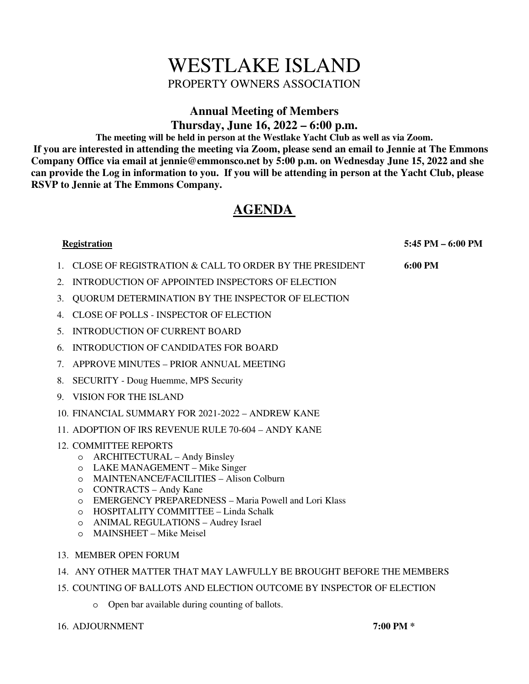# WESTLAKE ISLAND PROPERTY OWNERS ASSOCIATION

# **Annual Meeting of Members**

**Thursday, June 16, 2022 – 6:00 p.m.** 

**The meeting will be held in person at the Westlake Yacht Club as well as via Zoom. If you are interested in attending the meeting via Zoom, please send an email to Jennie at The Emmons Company Office via email at jennie@emmonsco.net by 5:00 p.m. on Wednesday June 15, 2022 and she can provide the Log in information to you. If you will be attending in person at the Yacht Club, please RSVP to Jennie at The Emmons Company.** 

## **AGENDA**

 **Registration 5:45 PM – 6:00 PM** 

- 1. CLOSE OF REGISTRATION & CALL TO ORDER BY THE PRESIDENT **6:00 PM**
- 2. INTRODUCTION OF APPOINTED INSPECTORS OF ELECTION
- 3. QUORUM DETERMINATION BY THE INSPECTOR OF ELECTION
- 4. CLOSE OF POLLS INSPECTOR OF ELECTION
- 5. INTRODUCTION OF CURRENT BOARD
- 6. INTRODUCTION OF CANDIDATES FOR BOARD
- 7. APPROVE MINUTES PRIOR ANNUAL MEETING
- 8. SECURITY Doug Huemme, MPS Security
- 9. VISION FOR THE ISLAND
- 10. FINANCIAL SUMMARY FOR 2021-2022 ANDREW KANE
- 11. ADOPTION OF IRS REVENUE RULE 70-604 ANDY KANE

## 12. COMMITTEE REPORTS

- o ARCHITECTURAL Andy Binsley
- o LAKE MANAGEMENT Mike Singer
- o MAINTENANCE/FACILITIES Alison Colburn
- o CONTRACTS Andy Kane
- o EMERGENCY PREPAREDNESS Maria Powell and Lori Klass
- o HOSPITALITY COMMITTEE Linda Schalk
- o ANIMAL REGULATIONS Audrey Israel
- o MAINSHEET Mike Meisel
- 13. MEMBER OPEN FORUM
- 14. ANY OTHER MATTER THAT MAY LAWFULLY BE BROUGHT BEFORE THE MEMBERS
- 15. COUNTING OF BALLOTS AND ELECTION OUTCOME BY INSPECTOR OF ELECTION
	- o Open bar available during counting of ballots.
- 16. ADJOURNMENT **7:00 PM \***